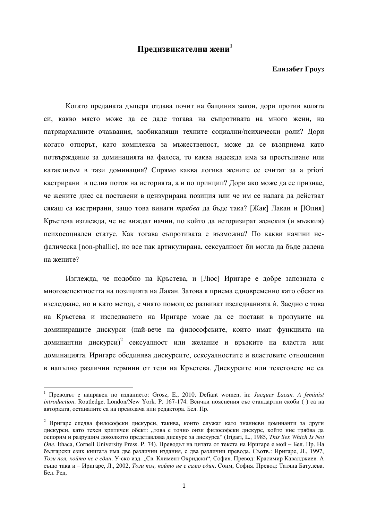## Предизвикателни жени<sup>1</sup>

## Елизабет Гроуз

Когато преданата дъщеря отдава почит на бащиния закон, дори против волята си, какво място може да се даде тогава на съпротивата на много жени, на патриархалните очаквания, заобикалящи техните социални/психически роли? Дори когато отпорът, като комплекса за мъжественост, може да се възприема като потвърждение за доминацията на фалоса, то каква надежда има за престъпване или катаклизъм в тази доминация? Спрямо каква логика жените се считат за а priori кастрирани в целия поток на историята, а и по принцип? Дори ако може да се признае, че жените днес са поставени в цензурирана позиция или че им се налага да действат сякаш са кастрирани, защо това винаги *трябва* да бъде така? [Жак] Лакан и [Юлия] Кръстева изглежда, че не виждат начин, по който да историзират женския (и мъжкия) психосоциален статус. Как тогава съпротивата е възможна? По какви начини нефалическа [non-phallic], но все пак артикулирана, сексуалност би могла да бъде дадена на жените?

Изглежда, че подобно на Кръстева, и [Люс] Иригаре е добре запозната с многоаспектността на позицията на Лакан. Затова я приема едновременно като обект на изследване, но и като метод, с чиято помощ се развиват изследванията и. Заедно с това на Кръстева и изследването на Иригаре може да се постави в пролуките на доминиращите дискурси (най-вече на философските, които имат функцията на доминантни дискурси)<sup>2</sup> сексуалност или желание и връзките на властта или доминацията. Иригаре обединява дискурсите, сексуалностите и властовите отношения в напълно различни термини от тези на Кръстева. Дискурсите или текстовете не са

<sup>&</sup>lt;sup>1</sup> Преводът е направен по изданието: Grosz, E., 2010, Defiant women, in: *Jacques Lacan. A feminist introduction*. Routledge, London/New York. P. 167-174. Всички пояснения със стандартни скоби () са на авторката, останалите са на преводача или редактора. Бел. Пр.

<sup>&</sup>lt;sup>2</sup> Иригаре следва философски дискурси, такива, които служат като знаниеви доминанти за други дискурси, като техен критичен обект: ..това е точно онзи философски дискурс, който ние трябва да оспорим и разрушим доколкото представлява дискурс за дискурса" (Irigari, L., 1985, This Sex Which Is Not *One*. Ithaca, Cornell University Press. Р. 74). Преводът на цитата от текста на Иригаре е мой – Бел. Пр. На български език книгата има две различни издания, с два различни превода. Съотв.: Иригаре, Л., 1997, Този пол, който не е един. У-ско изд. "Св. Климент Охридски", София. Превод: Красимир Кавалджиев. А също така и – Иригаре, Л., 2002, *Този пол, който не е само един*. Сонм, София, Превод: Татяна Батулева. Бел. Рел.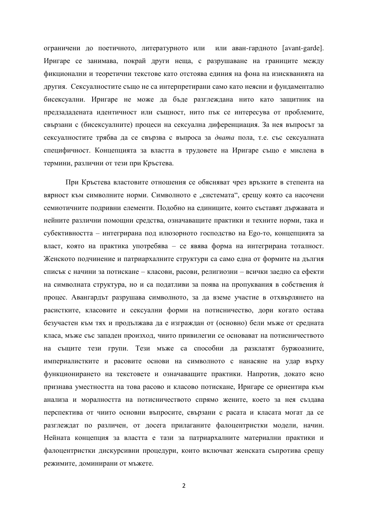ограничени до поетичното, литературното или или аван-гардното [avant-garde]. Иригаре се занимава, покрай други неща, с разрушаване на границите между фикционални и теоретични текстове като отстоява единия на фона на изискванията на другия. Сексуалностите също не са интерпретирани само като неясни и фундаментално бисексуални. Иригаре не може да бъде разглеждана нито като защитник на предзададената идентичност или същност, нито пък се интересува от проблемите, свързани с (бисексуалните) процеси на сексуална диференциация. За нея въпросът за сексуалностите трябва да се свързва с въпроса за двата пола, т.е. със сексуалната специфичност. Концепцията за властта в трудовете на Иригаре също е мислена в термини, различни от тези при Кръстева.

При Кръстева властовите отношения се обясняват чрез връзките в степента на вярност към символните норми. Символното е "системата", срещу която са насочени семиотичните подривни елементи. Подобно на единиците, които съставят държавата и нейните различни помощни средства, означаващите практики и техните норми, така и субективността – интегрирана под илюзорното господство на Еgo-то, концепцията за власт, която на практика употребява – се явява форма на интегрирана тоталност. Женското подчинение и патриархалните структури са само една от формите на дългия списък с начини за потискане – класови, расови, религиозни – всички заедно са ефекти на символната структура, но и са податливи за поява на пропуквания в собствения ѝ процес. Авангардът разрушава символното, за да вземе участие в отхвърлянето на расистките, класовите и сексуални форми на потисничество, дори когато остава безучастен към тях и продължава да е изграждан от (основно) бели мъже от средната класа, мъже със западен произход, чиито привилегии се основават на потисничеството на същите тези групи. Тези мъже са способни да разклатят буржоазните, империалистките и расовите основи на символното с нанасяне на удар върху функционирането на текстовете и означаващите практики. Напротив, докато ясно признава уместността на това расово и класово потискане, Иригаре се ориентира към анализа и моралността на потисничеството спрямо жените, което за нея създава перспектива от чиито основни въпросите, свързани с расата и класата могат да се разглеждат по различен, от досега прилаганите фалоцентристки модели, начин. Нейната концепция за властта е тази за патриархалните материални практики и фалоцентристки дискурсивни процедури, които включват женската съпротива срещу режимите, доминирани от мъжете.

2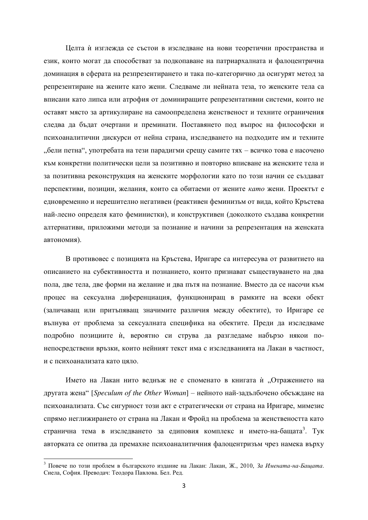Целта ѝ изглежда се състои в изследване на нови теоретични пространства и език, които могат да способстват за подкопаване на патриархалната и фалоцентрична доминация в сферата на резпрезентирането и така по-категорично да осигурят метод за репрезентиране на жените като жени. Следваме ли нейната теза, то женските тела са вписани като липса или атрофия от доминиращите репрезентативни системи, които не оставят място за артикулиране на самоопределена женственост и техните ограничения следва да бъдат очертани и преминати. Поставянето под въпрос на философски и психоаналитични дискурси от нейна страна, изследването на подходите им и техните "бели петна", употребата на тези парадигми срещу самите тях – всичко това е насочено към конкретни политически цели за позитивно и повторно вписване на женските тела и за позитивна реконструкция на женските морфологии като по този начин се създават перспективи, позиции, желания, които са обитаеми от жените като жени. Проектът е едновременно и нерешително негативен (реактивен феминизъм от вида, който Кръстева най-лесно определя като феминистки), и конструктивен (доколкото създава конкретни алтернативи, приложими методи за познание и начини за репрезентация на женската автономия).

В противовес с позицията на Кръстева, Иригаре са интересува от развитието на описанието на субективността и познанието, които признават съществуването на два пола, две тела, две форми на желание и два пътя на познание. Вместо да се насочи към процес на сексуална диференциация, функциониращ в рамките на всеки обект (заличаващ или притъпяващ значимите различия между обектите), то Иригаре се вълнува от проблема за сексуалната специфика на обектите. Преди да изследваме подробно позициите ѝ, вероятно си струва да разгледаме набързо някои понепосредствени връзки, които нейният текст има с изследванията на Лакан в частност, и с психоанализата като ияло.

Името на Лакан нито веднъж не е споменато в книгата ѝ "Отражението на другата жена" [*Speculum of the Other Woman*] – нейното най-задълбочено обсъждане на психоанализата. Със сигурност този акт е стратегически от страна на Иригаре, мимезис спрямо неглижирането от страна на Лакан и Фройд на проблема за женствеността като странична тема в изследването за едиповия комплекс и името-на-бащата<sup>3</sup>. Тук авторката се опитва да премахне психоаналитичния фалоцентризъм чрез намека върху

<sup>&</sup>lt;sup>3</sup> Повече по този проблем в българското издание на Лакан: Лакан, Ж., 2010, За Имената-на-Бащата. Сиела, София, Преволач: Теолора Павлова, Бел. Ред.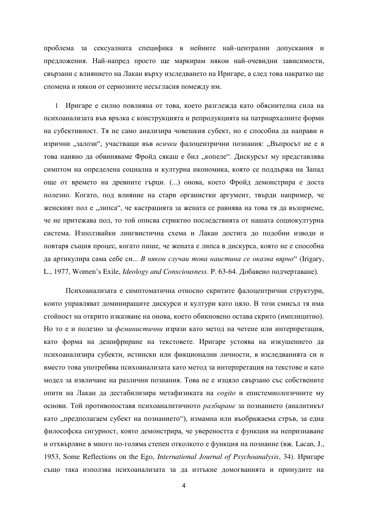проблема за сексуалната специфика в нейните най-централни допускания и предложения. Най-напред просто ще маркирам някои най-очевидни зависимости, свързани с влиянието на Лакан върху изследването на Иригаре, а след това накратко ще спомена и някои от сериозните несъгласия помежду им.

1 Иригаре е силно повлияна от това, което разглежда като обяснителна сила на психоанализата във връзка с конструкцията и репродукцията на патриархалните форми на субективност. Тя не само анализира човешкия субект, но е способна да направи и изрични "залози", участващи във *всички* фалоцентрични познания: "Въпросът не е в това наивно да обвиняваме Фройд сякаш е бил "копеле". Дискурсът му представлява симптом на определена социална и културна икономика, която се поддържа на Запад още от времето на древните гърци. (...) онова, което Фройд демонстрира е доста полезно. Когато, под влияние на стари органистки аргумент, твърди например, че женският пол е "липса", че кастрацията за жената се равнява на това тя да възприеме, че не притежава пол, то той описва стриктно последствията от нашата социокултурна система. Използвайки лингвистична схема и Лакан достига до подобни изводи и повтаря същия процес, когато пише, че жената е липса в дискурса, която не е способна да артикулира сама себе си... *В някои случаи това наистина се оказва вярно* "(Irigary, L., 1977, Women's Exile, *Ideology and Consciousness*. Р. 63-64. Добавено подчертаване).

Психоанализата е симптоматична относно скритите фалоцентрични структури, които управляват доминиращите дискурси и култури като цяло. В този смисъл тя има стойност на открито изказване на онова, което обикновено остава скрито (имплицитно). Но то е и полезно за *феминистични* изрази като метод на четене или интерпретация, като форма на дешифриране на текстовете. Иригаре устоява на изкушението да психоанализира субекти, истински или фикционални личности, в изследванията си и вместо това употребява психоанализата като метод за интерпретация на текстове и като модел за извличане на различни познания. Това не е изцяло свързано със собствените опити на Лакан да дестабилизира метафизиката на *cogito* и епистемиологичните му основи. Той противопоставя психоаналитичното *разбиране* за познанието (аналитикът като "предполагаем субект на познанието"), измамна или въображаема стръв, за една философска сигурност, която демонстрира, че увереността е функция на непризнаване и отхвърляне в много по-голяма степен отколкото е функция на познание (вж. Lacan, J., 1953, Some Reflections on the Ego, *International Journal of Psychoanalysis*, 34). *Influence* съшо така използва психоанализата за ла изтькне домогванията и принулите на

4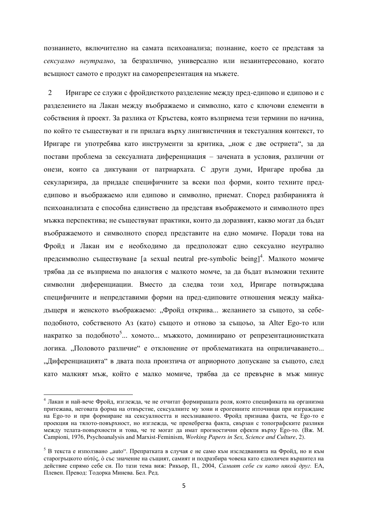познанието, включително на самата психоанализа; познание, което се представя за сексуално неутрално, за безразлично, универсално или незаинтересовано, когато всъщност самото е продукт на саморепрезентация на мъжете.

2 Иригаре се служи с фройдисткото разделение между пред-едипово и едипово и с разделението на Лакан между въображаемо и символно, като с ключови елементи в собствения и проект. За разлика от Кръстева, която възприема тези термини по начина, по който те съществуват и ги прилага върху лингвистичния и текстуалния контекст, то Иригаре ги употребява като инструменти за критика, "нож с две остриета", за да постави проблема за сексуалната диференциация – зачената в условия, различни от онези, които са диктувани от патриархата. С други думи, Иригаре пробва да секуларизира, да придаде специфичните за всеки пол форми, които техните предедипово и въображаемо или едипово и символно, приемат. Според разбиранията ѝ психоанализата е способна единствено да представя въображемото и символното през мъжка перспектива: не съществуват практики, които ла лоразвият, какво могат ла бълат въображаемото и символното според представите на едно момиче. Поради това на Фройд и Лакан им е необходимо да предположат едно сексуално неутрално предсимволно съществуване [a sexual neutral pre-symbolic being]<sup>4</sup>. Малкото момиче трябва да се възприема по аналогия с малкото момче, за да бъдат възможни техните символни диференциации. Вместо да следва този ход, Иригаре потвърждава специфичните и непредставими форми на пред-едиповите отношения между майкадъщеря и женското въображаемо: "Фройд открива... желанието за същото, за себеподобното, собственото Аз (като) същото и отново за същоъо, за Alter Еgo-то или накратко за подобното<sup>5</sup>... хомото... мъжкото, доминирано от репрезентационистката логика. "Половото различие" е отклонение от проблематиката на оприличаването... "Диференциацията" в двата пола произтича от априорното допускане за същото, след като малкият мъж, който е малко момиче, трябва да се превърне в мъж минус

 $4$  Лакан и най-вече Фройд, изглежда, че не отчитат формиращата роля, която спецификата на организма притежава, неговата форма на отвърстие, сексуалните му зони и ерогенните източници при изграждане на Едо-то и при формиране на сексуалността и несъзнаваното. Фройд признава факта, че Едо-то е проекция на тялото-повърхност, но изглежда, че пренебрегва факта, свързан с топографските разлики Meжду телата-повърхности и това, че те могат да имат прогностични ефекти върху Еgo-то. (Вж. М. Campioni, 1976, Psychoanalysis and Marxist-Feminism, *Working Papers in Sex, Science and Culture*, 2).

<sup>&</sup>lt;sup>5</sup> В текста е използвано "auto". Препратката в случая е не само към изследванията на Фройд, но и към старогрыцкото αύτός, о със значение на същият, самият и подразбира човека като едноличен вършител на действие спрямо себе си. По тази тема виж: Рикьор, П., 2004, *Самият себе си като някой друг*. ЕА, Плевен. Превод: Тодорка Минева. Бел. Ред.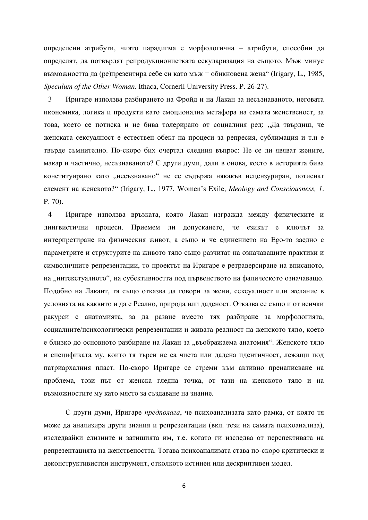определени атрибути, чиято парадигма е морфологична – атрибути, способни да определят, да потвърдят репродукционистката секуларизация на същото. Мъж минус възможността да (ре)презентира себе си като мъж = обикновена жена" (Irigary, L., 1985, *Speculum of the Other Woman*. Ithaca, Cornerll University Press. P. 26-27).

3 Иригаре използва разбирането на Фройд и на Лакан за несъзнаваното, неговата икономика, логика и продукти като емоционална метафора на самата женственост, за това, което се потиска и не бива толерирано от социалния ред: "Да твърдиш, че женската сексуалност е естествен обект на процеси за репресия, сублимация и т.н е твърде съмнително. По-скоро бих очертал следния въпрос: Не се ли явяват жените, макар и частично, несъзнаваното? С други думи, дали в онова, което в историята бива конституирано като "несъзнавано" не се съдържа някакъв нецензуриран, потиснат елемент на женското?" (Irigary, L., 1977, Women's Exile, *Ideology and Consciousness*, 1. P. 70).

4 Иригаре използва връзката, която Лакан изгражда между физическите и лингвистични процеси. Приемем ли допускането, че езикът е ключът за интерпретиране на физическия живот, а също и че единението на Еgo-то заедно с параметрите и структурите на живото тяло също разчитат на означаващите практики и символичните репрезентации, то проектът на Иригаре е ретраверсиране на вписаното, на "интекстуалното", на субективността под първенството на фалическото означаващо. Подобно на Лакант, тя също отказва да говори за жени, сексуалност или желание в условията на каквито и да е Реално, природа или даденост. Отказва се също и от всички ракурси с анатомията, за да развие вместо тях разбиране за морфологията, социалните/психологически репрезентации и живата реалност на женското тяло, което е близко до основното разбиране на Лакан за "въображаема анатомия". Женското тяло и спецификата му, които тя търси не са чиста или дадена идентичност, лежащи под патриархалния пласт. По-скоро Иригаре се стреми към активно пренаписване на проблема, този път от женска гледна точка, от тази на женското тяло и на възможностите му като място за създаване на знание.

С други думи, Иригаре предполага, че психоанализата като рамка, от която тя може да анализира други знания и репрезентации (вкл. тези на самата психоанализа), изследвайки елизиите и затишията им, т.е. когато ги изследва от перспективата на репрезентацията на женствеността. Тогава психоанализата става по-скоро критически и деконструктивистки инструмент, отколкото истинен или дескриптивен модел.

6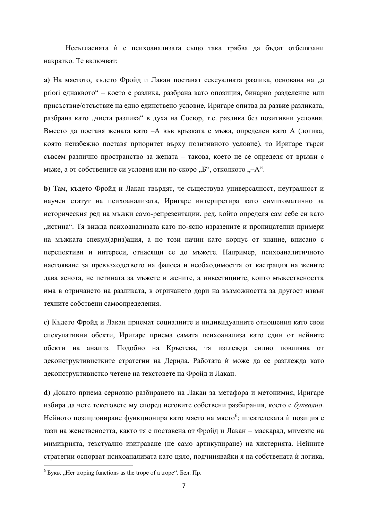Несъгласията ѝ с психоанализата също така трябва да бъдат отбелязани накратко. Те включват:

**а**) На мястото, където Фройд и Лакан поставят сексуалната разлика, основана на "а ргіогі еднаквото" – което е разлика, разбрана като опозиция, бинарно разделение или присъствие/отсъствие на едно единствено условие. Иригаре опитва да развие разликата. разбрана като "чиста разлика" в духа на Сосюр, т.е. разлика без позитивни условия. Вместо да поставя жената като -А във връзката с мъжа, определен като А (логика, която неизбежно поставя приоритет върху позитивното условие), то Иригаре търси съвсем различно пространство за жената – такова, което не се определя от връзки с мъже, а от собствените си условия или по-скоро "Б", отколкото "-А".

**b**) Там, където Фройд и Лакан твърдят, че съществува универсалност, неутралност и научен статут на психоанализата, Иригаре интерпретира като симптоматично за историческия ред на мъжки само-репрезентации, ред, който определя сам себе си като . истина". Тя вижла психоанализата като по-ясно изразените и проницателни примери на мъжката спекул(ариз)ация, а по този начин като корпус от знание, вписано с перспективи и интереси, отнасящи се до мъжете. Например, психоаналитичното настояване за превъзходството на фалоса и необходимостта от кастрация на жените дава яснота, не истината за мъжете и жените, а инвестициите, които мъжествеността има в отричането на разликата, в отричането дори на възможността за другост извън техните собствени самоопределения.

**с**) Където Фройд и Лакан приемат социалните и индивидуалните отношения като свои спекулативни обекти, Иригаре приема самата психоанализа като един от нейните обекти на анализ. Подобно на Кръстева, тя изглежда силно повлияна от деконструктивистките стратегии на Дерида. Работата ѝ може да се разглежда като деконструктивистко четене на текстовете на Фройд и Лакан.

**d**) Докато приема сериозно разбирането на Лакан за метафора и метонимия, Иригаре избира да чете текстовете му според неговите собствени разбирания, което е буквално. Нейното позициониране функционира като място на място<sup>6</sup>; писателската ѝ позиция е тази на женствеността, както тя е поставена от Фройд и Лакан – маскарад, мимезис на мимикрията, текстуално изиграване (не само артикулиране) на хистерията. Нейните стратегии оспорват психоанализата като цяло, подчинявайки я на собствената ѝ логика,  $\overline{a}$ 

 $<sup>6</sup>$  Букв. "Her troping functions as the trope of a trope". Бел. Пр.</sup>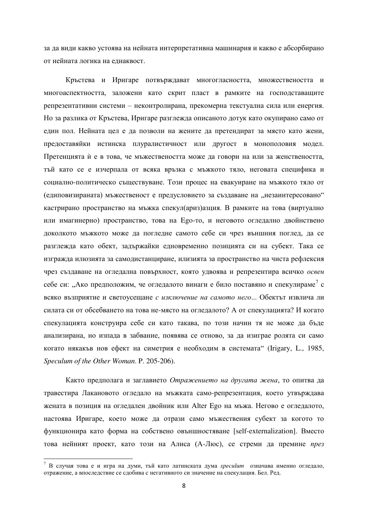за да види какво устоява на нейната интерпретативна машинария и какво е абсорбирано от нейната логика на еднаквост.

Кръстева и Иригаре потвърждават многогласността, множествеността и многоаспектността, заложени като скрит пласт в рамките на господставащите репрезентативни системи – неконтролирана, прекомерна текстуална сила или енергия. Но за разлика от Кръстева, Иригаре разглежда описаното дотук като окупирано само от един пол. Нейната цел е да позволи на жените да претендират за място като жени, предоставяйки истинска плуралистичност или другост в монополовия модел. Претенцията ѝ е в това, че мъжествеността може да говори на или за женствеността, тъй като се е изчерпала от всяка връзка с мъжкото тяло, неговата специфика и социално-политическо съществуване. Този процес на евакуиране на мъжкото тяло от (едиповизираната) мъжественост е предусловието за създаване на "незаинтересовано" кастрирано пространство на мъжка спекул (ариз) азция. В рамките на това (виртуално или имагинерно) пространство, това на Еgo-то, и неговото огледално двойнствено доколкото мъжкото може да погледне самото себе си чрез външния поглед, да се разглежда като обект, задържайки едновременно позицията си на субект. Така се изгражда илюзията за самодистанциране, илизията за пространство на чиста рефлексия чрез създаване на огледална повърхност, която удвоява и репрезентира всичко освен себе си: "Ако предположим, че огледалото винаги е било поставяно и спекулираме<sup>7</sup> с всяко възприятие и светоусещане с изключение на самото него... Обектът извлича ли силата си от обсебването на това не-място на огледалото? А от спекулацията? И когато спекулацията конструира себе си като такава, по този начин тя не може да бъде анализирана, но изпада в забвание, появява се отново, за да изиграе ролята си само когато някакъв нов ефект на симетрия е необходим в системата" (Irigary, L., 1985, *Speculum of the Other Woman*. P. 205-206).

Както предполага и заглавието *Отражението на другата жена*, то опитва да травестира Лакановото огледало на мъжката само-репрезентация, което утвърждава жената в позиция на огледален двойник или Alter Ego на мъжа. Негово е огледалото, настоява Иригаре, което може да отрази само мъжествения субект за когото то функционира като форма на собствено овъншностяване [self-externalization]. Вместо това нейният проект, като този на Алиса (А-Люс), се стреми да премине *през* 

 $^7$  В случая това е и игра на думи, тъй като латинската дума *speculum* означава именно огледало, отражение, а впослелствие се слобива с негативното си значение на спекулация. Бел. Рел.